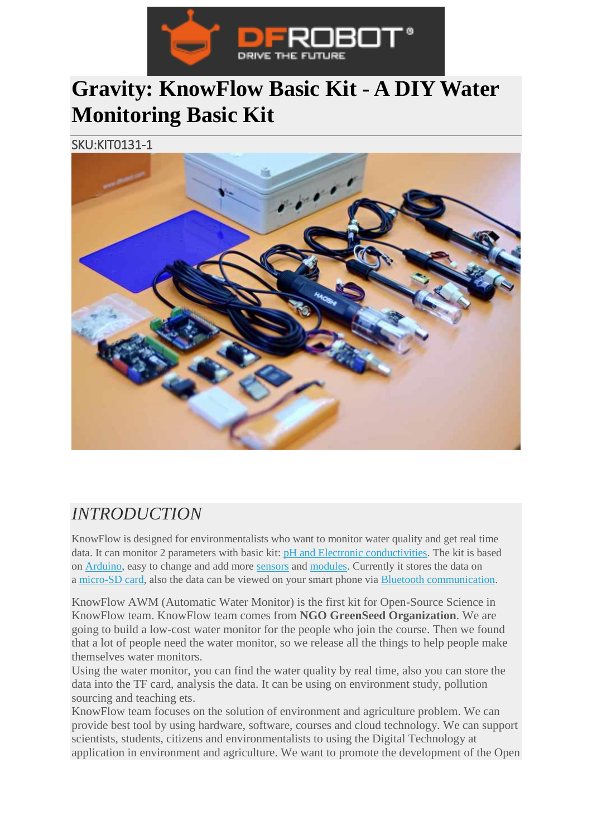

## **Gravity: KnowFlow Basic Kit - A DIY Water Monitoring Basic Kit**

SKU:KIT0131-1



## *INTRODUCTION*

KnowFlow is designed for environmentalists who want to monitor water quality and get real time data. It can monitor 2 parameters with basic kit: [pH and Electronic conductivities.](https://www.dfrobot.com/category-68.html) The kit is based on [Arduino,](https://www.dfrobot.com/category-104.html) easy to change and add more [sensors](https://www.dfrobot.com/category-36.html) and [modules.](https://www.dfrobot.com/category-156.html) Currently it stores the data on a [micro-SD card,](https://www.dfrobot.com/category-213.html) also the data can be viewed on your smart phone via [Bluetooth communication.](https://www.dfrobot.com/category-79.html)

KnowFlow AWM (Automatic Water Monitor) is the first kit for Open-Source Science in KnowFlow team. KnowFlow team comes from **NGO GreenSeed Organization**. We are going to build a low-cost water monitor for the people who join the course. Then we found that a lot of people need the water monitor, so we release all the things to help people make themselves water monitors.

Using the water monitor, you can find the water quality by real time, also you can store the data into the TF card, analysis the data. It can be using on environment study, pollution sourcing and teaching ets.

KnowFlow team focuses on the solution of environment and agriculture problem. We can provide best tool by using hardware, software, courses and cloud technology. We can support scientists, students, citizens and environmentalists to using the Digital Technology at application in environment and agriculture. We want to promote the development of the Open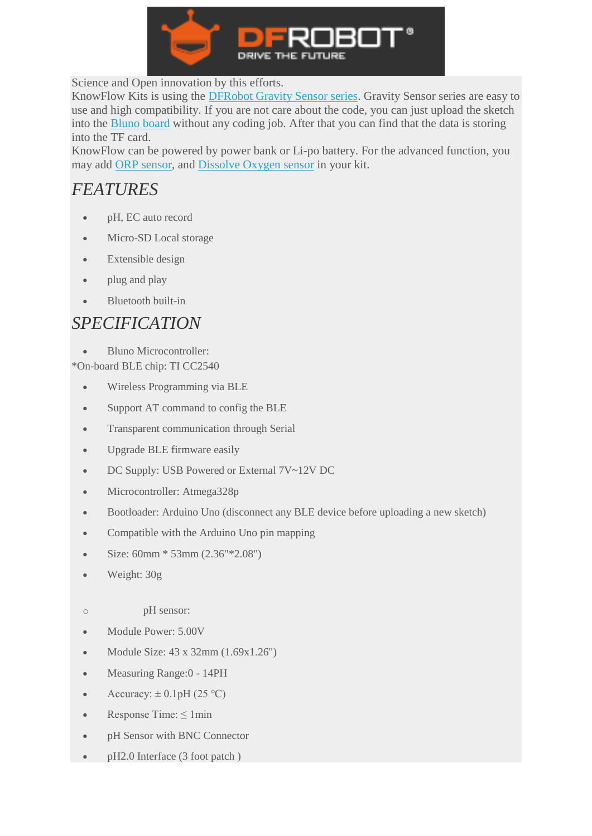

Science and Open innovation by this efforts.

KnowFlow Kits is using the [DFRobot Gravity Sensor series.](https://www.dfrobot.com/gravity) Gravity Sensor series are easy to use and high compatibility. If you are not care about the code, you can just upload the sketch into the [Bluno board](https://www.dfrobot.com/category-250.html) without any coding job. After that you can find that the data is storing into the TF card.

KnowFlow can be powered by power bank or Li-po battery. For the advanced function, you may add [ORP sensor,](https://www.dfrobot.com/product-1071.html) and [Dissolve Oxygen sensor](https://www.dfrobot.com/product-1628.html) in your kit.

## *FEATURES*

- pH, EC auto record
- Micro-SD Local storage
- Extensible design
- plug and play
- Bluetooth built-in

## *SPECIFICATION*

Bluno Microcontroller:

\*On-board BLE chip: TI CC2540

- Wireless Programming via BLE
- Support AT command to config the BLE
- Transparent communication through Serial
- Upgrade BLE firmware easily
- DC Supply: USB Powered or External 7V~12V DC
- Microcontroller: Atmega328p
- Bootloader: Arduino Uno (disconnect any BLE device before uploading a new sketch)
- Compatible with the Arduino Uno pin mapping
- Size: 60mm \* 53mm (2.36"\*2.08")
- Weight: 30g
- o pH sensor:
- Module Power: 5.00V
- Module Size:  $43 \times 32$ mm  $(1.69 \times 1.26)$
- Measuring Range:0 14PH
- Accuracy:  $\pm 0.1$ pH (25 °C)
- Response Time:  $\leq 1$ min
- pH Sensor with BNC Connector
- pH2.0 Interface (3 foot patch)